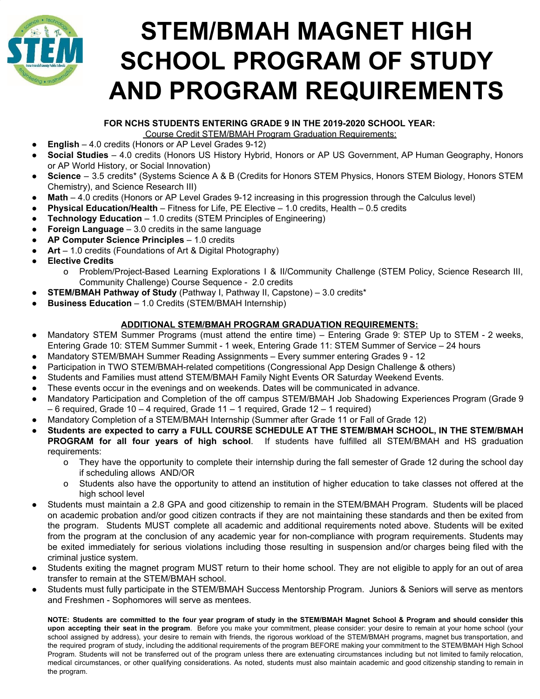

# **STEM/BMAH MAGNET HIGH SCHOOL PROGRAM OF STUDY AND PROGRAM REQUIREMENTS**

#### **FOR NCHS STUDENTS ENTERING GRADE 9 IN THE 2019-2020 SCHOOL YEAR:**

Course Credit STEM/BMAH Program Graduation Requirements:

- **English** 4.0 credits (Honors or AP Level Grades 9-12)
- **Social Studies** 4.0 credits (Honors US History Hybrid, Honors or AP US Government, AP Human Geography, Honors or AP World History, or Social Innovation)
- **Science** 3.5 credits\* (Systems Science A & B (Credits for Honors STEM Physics, Honors STEM Biology, Honors STEM Chemistry), and Science Research III)
- **Math** 4.0 credits (Honors or AP Level Grades 9-12 increasing in this progression through the Calculus level)
- **Physical Education/Health** Fitness for Life, PE Elective 1.0 credits, Health 0.5 credits
- **Technology Education** 1.0 credits (STEM Principles of Engineering)
- **Foreign Language** 3.0 credits in the same language
- **AP Computer Science Principles** 1.0 credits
- **Art** 1.0 credits (Foundations of Art & Digital Photography)
- **● Elective Credits**
	- o Problem/Project-Based Learning Explorations I & II/Community Challenge (STEM Policy, Science Research III, Community Challenge) Course Sequence - 2.0 credits
- **STEM/BMAH Pathway of Study** (Pathway I, Pathway II, Capstone) 3.0 credits\*
- **Business Education** 1.0 Credits (STEM/BMAH Internship)

#### **ADDITIONAL STEM/BMAH PROGRAM GRADUATION REQUIREMENTS:**

- Mandatory STEM Summer Programs (must attend the entire time) Entering Grade 9: STEP Up to STEM 2 weeks, Entering Grade 10: STEM Summer Summit - 1 week, Entering Grade 11: STEM Summer of Service – 24 hours
- Mandatory STEM/BMAH Summer Reading Assignments Every summer entering Grades 9 12
- Participation in TWO STEM/BMAH-related competitions (Congressional App Design Challenge & others)
- Students and Families must attend STEM/BMAH Family Night Events OR Saturday Weekend Events.
- These events occur in the evenings and on weekends. Dates will be communicated in advance.
- Mandatory Participation and Completion of the off campus STEM/BMAH Job Shadowing Experiences Program (Grade 9  $-6$  required, Grade 10  $-4$  required, Grade 11  $-1$  required, Grade 12  $-1$  required)
- Mandatory Completion of a STEM/BMAH Internship (Summer after Grade 11 or Fall of Grade 12)
- **Students are expected to carry a FULL COURSE SCHEDULE AT THE STEM/BMAH SCHOOL, IN THE STEM/BMAH PROGRAM for all four years of high school**. If students have fulfilled all STEM/BMAH and HS graduation requirements:
	- o They have the opportunity to complete their internship during the fall semester of Grade 12 during the school day if scheduling allows AND/OR
	- o Students also have the opportunity to attend an institution of higher education to take classes not offered at the high school level
- Students must maintain a 2.8 GPA and good citizenship to remain in the STEM/BMAH Program. Students will be placed on academic probation and/or good citizen contracts if they are not maintaining these standards and then be exited from the program. Students MUST complete all academic and additional requirements noted above. Students will be exited from the program at the conclusion of any academic year for non-compliance with program requirements. Students may be exited immediately for serious violations including those resulting in suspension and/or charges being filed with the criminal justice system.
- Students exiting the magnet program MUST return to their home school. They are not eligible to apply for an out of area transfer to remain at the STEM/BMAH school.
- Students must fully participate in the STEM/BMAH Success Mentorship Program. Juniors & Seniors will serve as mentors and Freshmen - Sophomores will serve as mentees.

NOTE: Students are committed to the four year program of study in the STEM/BMAH Magnet School & Program and should consider this **upon accepting their seat in the program**. Before you make your commitment, please consider: your desire to remain at your home school (your school assigned by address), your desire to remain with friends, the rigorous workload of the STEM/BMAH programs, magnet bus transportation, and the required program of study, including the additional requirements of the program BEFORE making your commitment to the STEM/BMAH High School Program. Students will not be transferred out of the program unless there are extenuating circumstances including but not limited to family relocation, medical circumstances, or other qualifying considerations. As noted, students must also maintain academic and good citizenship standing to remain in the program.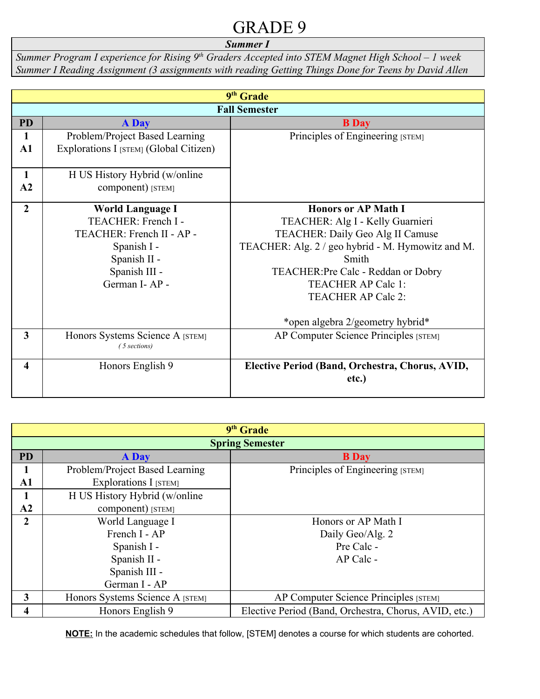#### *Summer I*

*Summer Program I experience for Rising 9th Graders Accepted into STEM Magnet High School – 1 week Summer I Reading Assignment (3 assignments with reading Getting Things Done for Teens by David Allen*

| 9 <sup>th</sup> Grade   |                                        |                                                   |  |  |
|-------------------------|----------------------------------------|---------------------------------------------------|--|--|
|                         | <b>Fall Semester</b>                   |                                                   |  |  |
| <b>PD</b>               | <b>A</b> Day                           | <b>B</b> Day                                      |  |  |
| 1                       | Problem/Project Based Learning         | Principles of Engineering [STEM]                  |  |  |
| $\mathbf{A1}$           | Explorations I [STEM] (Global Citizen) |                                                   |  |  |
|                         |                                        |                                                   |  |  |
| 1                       | H US History Hybrid (w/online          |                                                   |  |  |
| A2                      | component) [STEM]                      |                                                   |  |  |
| $\overline{2}$          | <b>World Language I</b>                | <b>Honors or AP Math I</b>                        |  |  |
|                         | TEACHER: French I -                    | TEACHER: Alg I - Kelly Guarnieri                  |  |  |
|                         | TEACHER: French II - AP -              | <b>TEACHER: Daily Geo Alg II Camuse</b>           |  |  |
|                         | Spanish I -                            | TEACHER: Alg. 2 / geo hybrid - M. Hymowitz and M. |  |  |
|                         | Spanish II -                           | Smith                                             |  |  |
|                         | Spanish III -                          | TEACHER: Pre Calc - Reddan or Dobry               |  |  |
| German I-AP-            |                                        | <b>TEACHER AP Calc 1:</b>                         |  |  |
|                         |                                        | <b>TEACHER AP Calc 2:</b>                         |  |  |
|                         |                                        | *open algebra 2/geometry hybrid*                  |  |  |
| $\overline{\mathbf{3}}$ | Honors Systems Science A [STEM]        |                                                   |  |  |
|                         | (5 sections)                           | AP Computer Science Principles [STEM]             |  |  |
|                         |                                        |                                                   |  |  |
| 4                       | Honors English 9                       | Elective Period (Band, Orchestra, Chorus, AVID,   |  |  |
|                         |                                        | etc.)                                             |  |  |
|                         |                                        |                                                   |  |  |

| 9 <sup>th</sup> Grade |                                                                           |                                       |  |  |
|-----------------------|---------------------------------------------------------------------------|---------------------------------------|--|--|
|                       | <b>Spring Semester</b>                                                    |                                       |  |  |
| <b>PD</b>             | <b>A</b> Day                                                              | <b>B</b> Day                          |  |  |
| 1                     | Problem/Project Based Learning                                            | Principles of Engineering [STEM]      |  |  |
| $\mathbf{A1}$         | Explorations I [STEM]                                                     |                                       |  |  |
| 1                     | H US History Hybrid (w/online                                             |                                       |  |  |
| $\mathbf{A2}$         | component) [STEM]                                                         |                                       |  |  |
| 2                     | World Language I                                                          | Honors or AP Math I                   |  |  |
|                       | French I - AP                                                             | Daily Geo/Alg. 2                      |  |  |
|                       | Spanish I -                                                               | Pre Calc -                            |  |  |
|                       | Spanish II -                                                              | AP Calc -                             |  |  |
|                       | Spanish III -                                                             |                                       |  |  |
|                       | German I - AP                                                             |                                       |  |  |
| 3                     | Honors Systems Science A [STEM]                                           | AP Computer Science Principles [STEM] |  |  |
|                       | Elective Period (Band, Orchestra, Chorus, AVID, etc.)<br>Honors English 9 |                                       |  |  |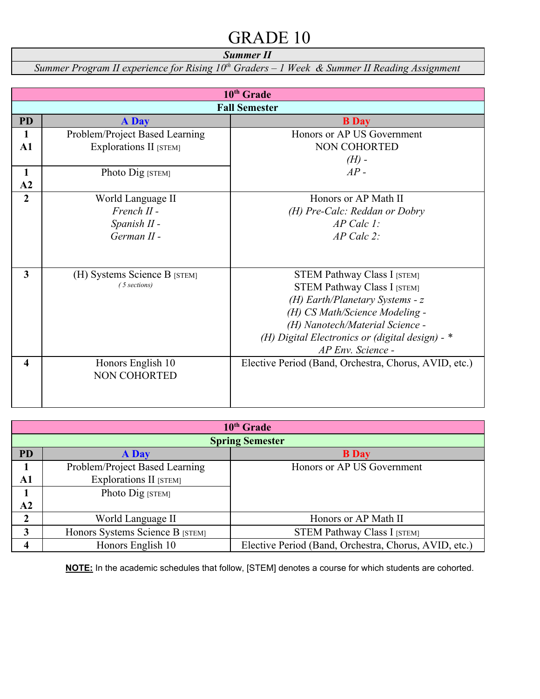*Summer II*

*Summer Program II experience for Rising 10th Graders – 1 Week & Summer II Reading Assignment*

| 10 <sup>th</sup> Grade  |                                |                                                       |  |
|-------------------------|--------------------------------|-------------------------------------------------------|--|
| <b>Fall Semester</b>    |                                |                                                       |  |
| <b>PD</b>               | <b>A</b> Day                   | <b>B</b> Day                                          |  |
| 1                       | Problem/Project Based Learning | Honors or AP US Government                            |  |
| $\mathbf{A1}$           | Explorations II [STEM]         | NON COHORTED                                          |  |
|                         |                                | $(H)$ -                                               |  |
| $\mathbf{1}$            | Photo Dig [STEM]               | $AP -$                                                |  |
| A2                      |                                |                                                       |  |
| $\overline{2}$          | World Language II              | Honors or AP Math II                                  |  |
|                         | $French II -$                  | (H) Pre-Calc: Reddan or Dobry                         |  |
|                         | Spanish II -                   | $AP$ Calc 1:                                          |  |
|                         | $German II -$                  | $AP$ Calc $2$ :                                       |  |
|                         |                                |                                                       |  |
|                         |                                |                                                       |  |
| $\overline{\mathbf{3}}$ | (H) Systems Science B [STEM]   | <b>STEM Pathway Class I [STEM]</b>                    |  |
|                         | (5 sections)                   | <b>STEM Pathway Class I [STEM]</b>                    |  |
|                         |                                | (H) Earth/Planetary Systems - $z$                     |  |
|                         |                                | (H) CS Math/Science Modeling -                        |  |
|                         |                                | (H) Nanotech/Material Science -                       |  |
|                         |                                | (H) Digital Electronics or (digital design) - *       |  |
|                         |                                | AP Env. Science -                                     |  |
| 4                       | Honors English 10              | Elective Period (Band, Orchestra, Chorus, AVID, etc.) |  |
|                         | <b>NON COHORTED</b>            |                                                       |  |
|                         |                                |                                                       |  |
|                         |                                |                                                       |  |

| $10th$ Grade |                                 |                                                       |  |  |
|--------------|---------------------------------|-------------------------------------------------------|--|--|
|              | <b>Spring Semester</b>          |                                                       |  |  |
| <b>PD</b>    | <b>A</b> Day                    | <b>B</b> Day                                          |  |  |
|              | Problem/Project Based Learning  | Honors or AP US Government                            |  |  |
| A1           | Explorations II [STEM]          |                                                       |  |  |
|              | Photo Dig [STEM]                |                                                       |  |  |
| ${\bf A2}$   |                                 |                                                       |  |  |
| 2            | World Language II               | Honors or AP Math II                                  |  |  |
| 3            | Honors Systems Science B [STEM] | <b>STEM Pathway Class I [STEM]</b>                    |  |  |
|              | Honors English 10               | Elective Period (Band, Orchestra, Chorus, AVID, etc.) |  |  |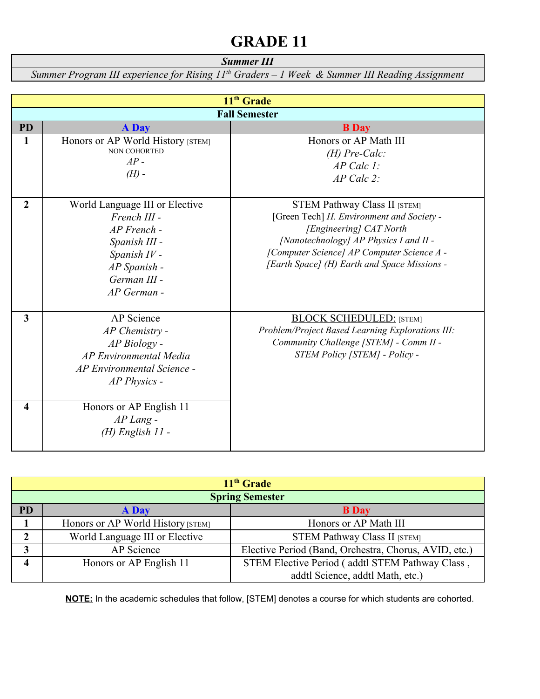### *Summer III*

*Summer Program III experience for Rising 11th Graders – 1 Week & Summer III Reading Assignment*

| 11 <sup>th</sup> Grade |                                                                                                                                                 |                                                                                                                                                                                                                                                     |  |  |
|------------------------|-------------------------------------------------------------------------------------------------------------------------------------------------|-----------------------------------------------------------------------------------------------------------------------------------------------------------------------------------------------------------------------------------------------------|--|--|
|                        | <b>Fall Semester</b>                                                                                                                            |                                                                                                                                                                                                                                                     |  |  |
| <b>PD</b>              | <b>A</b> Day                                                                                                                                    | <b>B</b> Day                                                                                                                                                                                                                                        |  |  |
| $\mathbf{1}$           | Honors or AP World History [STEM]<br><b>NON COHORTED</b><br>$AP -$<br>$(H)$ -                                                                   | Honors or AP Math III<br>$(H) Pre-Calc$<br>$AP$ Calc 1:<br>$AP$ Calc 2:                                                                                                                                                                             |  |  |
| $\overline{2}$         | World Language III or Elective<br>French III -<br>$AP$ French -<br>Spanish III -<br>Spanish IV -<br>AP Spanish -<br>German III -<br>AP German - | <b>STEM Pathway Class II [STEM]</b><br>[Green Tech] H. Environment and Society -<br>[Engineering] CAT North<br>[Nanotechnology] AP Physics I and II -<br>[Computer Science] AP Computer Science A -<br>[Earth Space] (H) Earth and Space Missions - |  |  |
| $\mathbf{3}$           | AP Science<br>$AP$ Chemistry -<br>AP Biology -<br><b>AP Environmental Media</b><br>AP Environmental Science -<br>AP Physics -                   | <b>BLOCK SCHEDULED:</b> [STEM]<br>Problem/Project Based Learning Explorations III:<br>Community Challenge [STEM] - Comm II -<br>STEM Policy [STEM] - Policy -                                                                                       |  |  |
| 4                      | Honors or AP English 11<br>$AP$ Lang $-$<br>$(H)$ English 11 -                                                                                  |                                                                                                                                                                                                                                                     |  |  |

| 11 <sup>th</sup> Grade |                                   |                                                       |  |
|------------------------|-----------------------------------|-------------------------------------------------------|--|
| <b>Spring Semester</b> |                                   |                                                       |  |
| <b>PD</b>              | <b>A</b> Day                      | <b>B</b> Day                                          |  |
|                        | Honors or AP World History [STEM] | Honors or AP Math III                                 |  |
|                        | World Language III or Elective    | STEM Pathway Class II [STEM]                          |  |
|                        | AP Science                        | Elective Period (Band, Orchestra, Chorus, AVID, etc.) |  |
|                        | Honors or AP English 11           | STEM Elective Period (addtl STEM Pathway Class,       |  |
|                        |                                   | addtl Science, addtl Math, etc.)                      |  |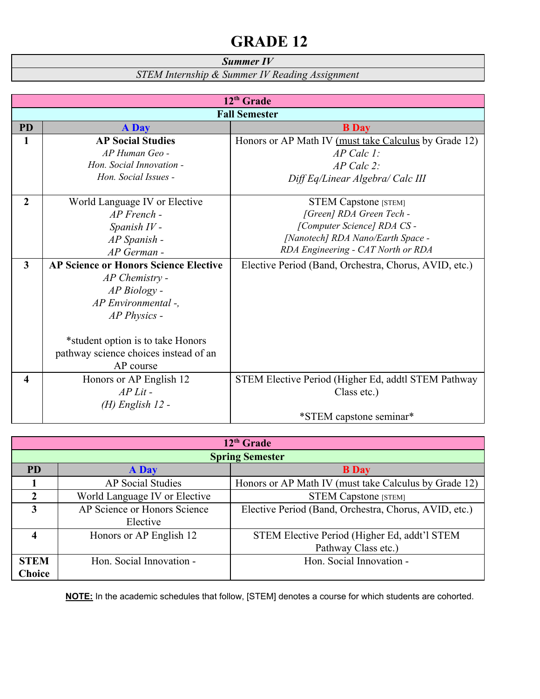#### *Summer IV*

*STEM Internship & Summer IV Reading Assignment*

| 12 <sup>th</sup> Grade  |                                              |                                                       |  |
|-------------------------|----------------------------------------------|-------------------------------------------------------|--|
| <b>Fall Semester</b>    |                                              |                                                       |  |
| <b>PD</b>               | <b>A</b> Day                                 | <b>B</b> Day                                          |  |
| 1                       | <b>AP Social Studies</b>                     | Honors or AP Math IV (must take Calculus by Grade 12) |  |
|                         | AP Human Geo -                               | $AP$ Calc 1:                                          |  |
|                         | Hon. Social Innovation -                     | $AP$ Calc 2:                                          |  |
|                         | Hon. Social Issues -                         | Diff Eq/Linear Algebra/ Calc III                      |  |
|                         |                                              |                                                       |  |
| $\overline{2}$          | World Language IV or Elective                | <b>STEM Capstone</b> [STEM]                           |  |
|                         | $AP$ French -                                | [Green] RDA Green Tech -                              |  |
|                         | Spanish IV -                                 | [Computer Science] RDA CS -                           |  |
|                         | AP Spanish -                                 | [Nanotech] RDA Nano/Earth Space -                     |  |
|                         | AP German -                                  | RDA Engineering - CAT North or RDA                    |  |
| $\overline{\mathbf{3}}$ | <b>AP Science or Honors Science Elective</b> | Elective Period (Band, Orchestra, Chorus, AVID, etc.) |  |
|                         | $AP$ Chemistry -                             |                                                       |  |
|                         | AP Biology -                                 |                                                       |  |
|                         | AP Environmental -,                          |                                                       |  |
|                         | AP Physics -                                 |                                                       |  |
|                         |                                              |                                                       |  |
|                         | *student option is to take Honors            |                                                       |  |
|                         | pathway science choices instead of an        |                                                       |  |
|                         | AP course                                    |                                                       |  |
| 4                       | Honors or AP English 12                      | STEM Elective Period (Higher Ed, addtl STEM Pathway   |  |
|                         | $AP$ Lit -                                   | Class etc.)                                           |  |
|                         | $(H)$ English 12 -                           |                                                       |  |
|                         |                                              | *STEM capstone seminar*                               |  |

| 12 <sup>th</sup> Grade                          |                          |                                                       |  |  |
|-------------------------------------------------|--------------------------|-------------------------------------------------------|--|--|
|                                                 | <b>Spring Semester</b>   |                                                       |  |  |
| <b>PD</b><br><b>A</b> Day                       |                          | <b>B</b> Day                                          |  |  |
| <b>AP Social Studies</b>                        |                          | Honors or AP Math IV (must take Calculus by Grade 12) |  |  |
| $\mathfrak{D}$<br>World Language IV or Elective |                          | <b>STEM Capstone</b> [STEM]                           |  |  |
| AP Science or Honors Science<br>3               |                          | Elective Period (Band, Orchestra, Chorus, AVID, etc.) |  |  |
| Elective                                        |                          |                                                       |  |  |
| 4                                               | Honors or AP English 12  | STEM Elective Period (Higher Ed, addt'l STEM          |  |  |
|                                                 |                          | Pathway Class etc.)                                   |  |  |
| <b>STEM</b>                                     | Hon. Social Innovation - | Hon. Social Innovation -                              |  |  |
| <b>Choice</b>                                   |                          |                                                       |  |  |